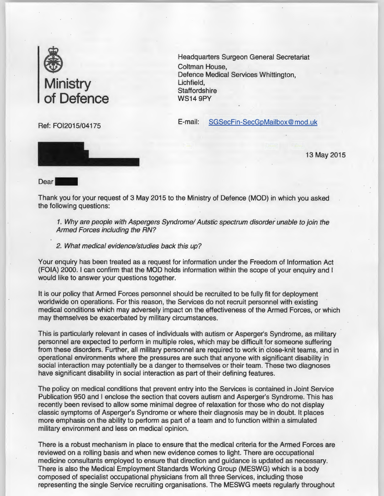

Ref: FOI2015/04175

Headquarters Surgeon General Secretariat Coltman House, Defence Medical Services Whittington, Lichfield, **Staffordshire** WS14 9PY

E-mail: SGSecFin-SecGpMailbox@ mod.uk

13 May 2015

Dear

Thank you for your request of 3 May 2015 to the Ministry of Defence (MOD) in which you asked the following questions:

1. Why are people with Aspergers Syndrome/ Autstic spectrum disorder unable to join the Armed Forces including the RN?

2. What medical evidence/studies back this up?

Your enquiry has been treated as a request for information under the Freedom of Information Act (FOIA) 2000. I can confirm that the MOD holds information within the scope of your enquiry and I would like to answer your questions together.

It is our policy that Armed Forces personnel should be recruited to be fully fit for deployment worldwide on operations. For this reason, the Services do not recruit personnel with existing medical conditions which may adversely impact on the effectiveness of the Armed Forces, or which may themselves be exacerbated by military circumstances.

This is particularly relevant in cases of individuals with autism or Asperger's Syndrome, as military personnel are expected to perform in multiple roles, which may be difficult for someone suffering from these disorders. Further, all military personnel are required to work in close-knit teams, and in operational environments where the pressures are such that anyone with significant disability in social interaction may potentially be a danger to themselves or their team. These two diagnoses have significant disability in social interaction as part of their defining features.

The policy on medical conditions that prevent entry into the Services is contained in Joint Service Publication 950 and I enclose the section that covers autism and Asperger's Syndrome. This has recently been revised to allow some minimal degree of relaxation for those who do not display classic symptoms of Asperger's Syndrome or where their diagnosis may be in doubt. It places more emphasis on the ability to perform as part of a team and to function within a simulated military environment and less on medical opinion.

There is a robust mechanism in place to ensure that the medical criteria for the Armed Forces are reviewed on a rolling basis and when new evidence comes to light. There are occupational medicine consultants employed to ensure that direction and guidance is updated as necessary. There is also the Medical Employment Standards Working Group (MESWG) which is a body composed of specialist occupational physicians from all three Services, including those representing the single Service recruiting organisations. The MESWG meets regularly throughout